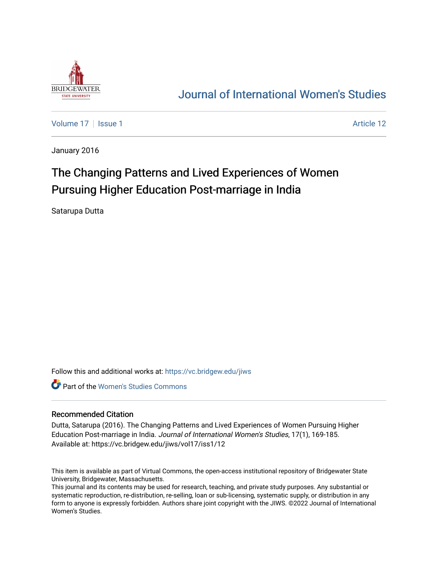

# [Journal of International Women's Studies](https://vc.bridgew.edu/jiws)

[Volume 17](https://vc.bridgew.edu/jiws/vol17) | [Issue 1](https://vc.bridgew.edu/jiws/vol17/iss1) Article 12

January 2016

# The Changing Patterns and Lived Experiences of Women Pursuing Higher Education Post-marriage in India

Satarupa Dutta

Follow this and additional works at: [https://vc.bridgew.edu/jiws](https://vc.bridgew.edu/jiws?utm_source=vc.bridgew.edu%2Fjiws%2Fvol17%2Fiss1%2F12&utm_medium=PDF&utm_campaign=PDFCoverPages)

**C** Part of the Women's Studies Commons

#### Recommended Citation

Dutta, Satarupa (2016). The Changing Patterns and Lived Experiences of Women Pursuing Higher Education Post-marriage in India. Journal of International Women's Studies, 17(1), 169-185. Available at: https://vc.bridgew.edu/jiws/vol17/iss1/12

This item is available as part of Virtual Commons, the open-access institutional repository of Bridgewater State University, Bridgewater, Massachusetts.

This journal and its contents may be used for research, teaching, and private study purposes. Any substantial or systematic reproduction, re-distribution, re-selling, loan or sub-licensing, systematic supply, or distribution in any form to anyone is expressly forbidden. Authors share joint copyright with the JIWS. ©2022 Journal of International Women's Studies.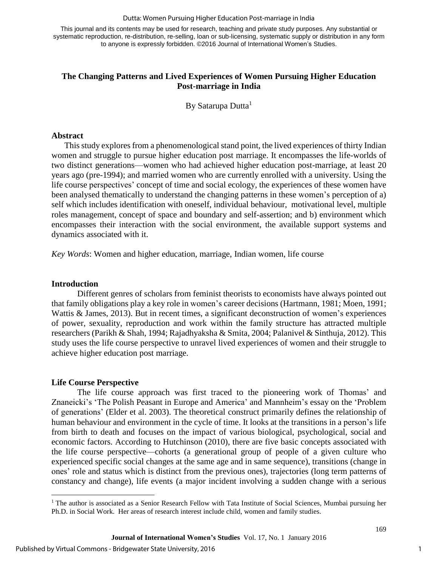#### Dutta: Women Pursuing Higher Education Post-marriage in India

This journal and its contents may be used for research, teaching and private study purposes. Any substantial or systematic reproduction, re-distribution, re-selling, loan or sub-licensing, systematic supply or distribution in any form to anyone is expressly forbidden. ©2016 Journal of International Women's Studies.

# **The Changing Patterns and Lived Experiences of Women Pursuing Higher Education Post-marriage in India**

By Satarupa Dutta<sup>1</sup>

#### **Abstract**

This study explores from a phenomenological stand point, the lived experiences of thirty Indian women and struggle to pursue higher education post marriage. It encompasses the life-worlds of two distinct generations—women who had achieved higher education post-marriage, at least 20 years ago (pre-1994); and married women who are currently enrolled with a university. Using the life course perspectives' concept of time and social ecology, the experiences of these women have been analysed thematically to understand the changing patterns in these women's perception of a) self which includes identification with oneself, individual behaviour, motivational level, multiple roles management, concept of space and boundary and self-assertion; and b) environment which encompasses their interaction with the social environment, the available support systems and dynamics associated with it.

*Key Words*: Women and higher education, marriage, Indian women, life course

#### **Introduction**

 $\overline{a}$ 

Different genres of scholars from feminist theorists to economists have always pointed out that family obligations play a key role in women's career decisions (Hartmann, 1981; Moen, 1991; Wattis & James, 2013). But in recent times, a significant deconstruction of women's experiences of power, sexuality, reproduction and work within the family structure has attracted multiple researchers (Parikh & Shah, 1994; Rajadhyaksha & Smita, 2004; Palanivel & Sinthuja, 2012). This study uses the life course perspective to unravel lived experiences of women and their struggle to achieve higher education post marriage.

# **Life Course Perspective**

The life course approach was first traced to the pioneering work of Thomas' and Znaneicki's 'The Polish Peasant in Europe and America' and Mannheim's essay on the 'Problem of generations' (Elder et al. 2003). The theoretical construct primarily defines the relationship of human behaviour and environment in the cycle of time. It looks at the transitions in a person's life from birth to death and focuses on the impact of various biological, psychological, social and economic factors. According to Hutchinson (2010), there are five basic concepts associated with the life course perspective—cohorts (a generational group of people of a given culture who experienced specific social changes at the same age and in same sequence), transitions (change in ones' role and status which is distinct from the previous ones), trajectories (long term patterns of constancy and change), life events (a major incident involving a sudden change with a serious

<sup>&</sup>lt;sup>1</sup> The author is associated as a Senior Research Fellow with Tata Institute of Social Sciences, Mumbai pursuing her Ph.D. in Social Work. Her areas of research interest include child, women and family studies.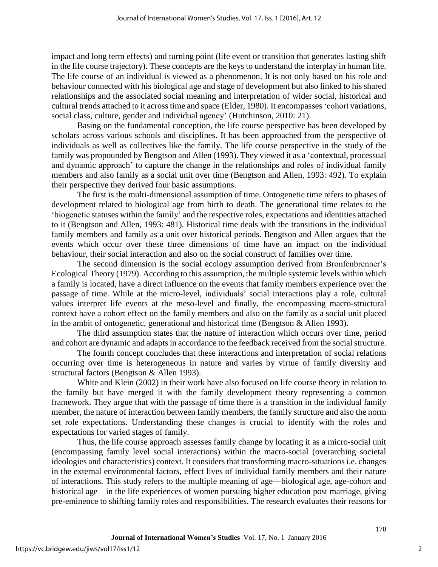impact and long term effects) and turning point (life event or transition that generates lasting shift in the life course trajectory). These concepts are the keys to understand the interplay in human life. The life course of an individual is viewed as a phenomenon. It is not only based on his role and behaviour connected with his biological age and stage of development but also linked to his shared relationships and the associated social meaning and interpretation of wider social, historical and cultural trends attached to it across time and space (Elder, 1980). It encompasses 'cohort variations, social class, culture, gender and individual agency' (Hutchinson, 2010: 21).

Basing on the fundamental conception, the life course perspective has been developed by scholars across various schools and disciplines. It has been approached from the perspective of individuals as well as collectives like the family. The life course perspective in the study of the family was propounded by Bengtson and Allen (1993). They viewed it as a 'contextual, processual and dynamic approach' to capture the change in the relationships and roles of individual family members and also family as a social unit over time (Bengtson and Allen, 1993: 492). To explain their perspective they derived four basic assumptions.

The first is the multi-dimensional assumption of time. Ontogenetic time refers to phases of development related to biological age from birth to death. The generational time relates to the 'biogenetic statuses within the family' and the respective roles, expectations and identities attached to it (Bengtson and Allen, 1993: 481). Historical time deals with the transitions in the individual family members and family as a unit over historical periods. Bengtson and Allen argues that the events which occur over these three dimensions of time have an impact on the individual behaviour, their social interaction and also on the social construct of families over time.

The second dimension is the social ecology assumption derived from Bronfenbrenner's Ecological Theory (1979). According to this assumption, the multiple systemic levels within which a family is located, have a direct influence on the events that family members experience over the passage of time. While at the micro-level, individuals' social interactions play a role, cultural values interpret life events at the meso-level and finally, the encompassing macro-structural context have a cohort effect on the family members and also on the family as a social unit placed in the ambit of ontogenetic, generational and historical time (Bengtson & Allen 1993).

The third assumption states that the nature of interaction which occurs over time, period and cohort are dynamic and adapts in accordance to the feedback received from the social structure.

The fourth concept concludes that these interactions and interpretation of social relations occurring over time is heterogeneous in nature and varies by virtue of family diversity and structural factors (Bengtson & Allen 1993).

White and Klein (2002) in their work have also focused on life course theory in relation to the family but have merged it with the family development theory representing a common framework. They argue that with the passage of time there is a transition in the individual family member, the nature of interaction between family members, the family structure and also the norm set role expectations. Understanding these changes is crucial to identify with the roles and expectations for varied stages of family.

Thus, the life course approach assesses family change by locating it as a micro-social unit (encompassing family level social interactions) within the macro-social (overarching societal ideologies and characteristics) context. It considers that transforming macro-situations i.e. changes in the external environmental factors, effect lives of individual family members and their nature of interactions. This study refers to the multiple meaning of age—biological age, age-cohort and historical age—in the life experiences of women pursuing higher education post marriage, giving pre-eminence to shifting family roles and responsibilities. The research evaluates their reasons for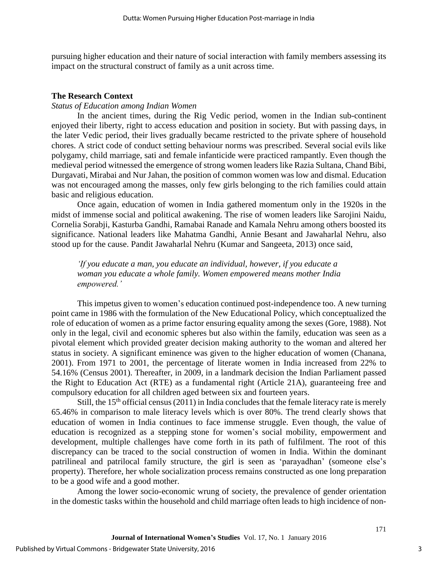pursuing higher education and their nature of social interaction with family members assessing its impact on the structural construct of family as a unit across time.

#### **The Research Context**

#### *Status of Education among Indian Women*

In the ancient times, during the Rig Vedic period, women in the Indian sub-continent enjoyed their liberty, right to access education and position in society. But with passing days, in the later Vedic period, their lives gradually became restricted to the private sphere of household chores. A strict code of conduct setting behaviour norms was prescribed. Several social evils like polygamy, child marriage, sati and female infanticide were practiced rampantly. Even though the medieval period witnessed the emergence of strong women leaders like Razia Sultana, Chand Bibi, Durgavati, Mirabai and Nur Jahan, the position of common women was low and dismal. Education was not encouraged among the masses, only few girls belonging to the rich families could attain basic and religious education.

Once again, education of women in India gathered momentum only in the 1920s in the midst of immense social and political awakening. The rise of women leaders like Sarojini Naidu, Cornelia Sorabji, Kasturba Gandhi, Ramabai Ranade and Kamala Nehru among others boosted its significance. National leaders like Mahatma Gandhi, Annie Besant and Jawaharlal Nehru, also stood up for the cause. Pandit Jawaharlal Nehru (Kumar and Sangeeta, 2013) once said,

*'If you educate a man, you educate an individual, however, if you educate a woman you educate a whole family. Women empowered means mother India empowered.'*

This impetus given to women's education continued post-independence too. A new turning point came in 1986 with the formulation of the New Educational Policy, which conceptualized the role of education of women as a prime factor ensuring equality among the sexes (Gore, 1988). Not only in the legal, civil and economic spheres but also within the family, education was seen as a pivotal element which provided greater decision making authority to the woman and altered her status in society. A significant eminence was given to the higher education of women (Chanana, 2001). From 1971 to 2001, the percentage of literate women in India increased from 22% to 54.16% (Census 2001). Thereafter, in 2009, in a landmark decision the Indian Parliament passed the Right to Education Act (RTE) as a fundamental right (Article 21A), guaranteeing free and compulsory education for all children aged between six and fourteen years.

Still, the  $15<sup>th</sup>$  official census (2011) in India concludes that the female literacy rate is merely 65.46% in comparison to male literacy levels which is over 80%. The trend clearly shows that education of women in India continues to face immense struggle. Even though, the value of education is recognized as a stepping stone for women's social mobility, empowerment and development, multiple challenges have come forth in its path of fulfilment. The root of this discrepancy can be traced to the social construction of women in India. Within the dominant patrilineal and patrilocal family structure, the girl is seen as 'parayadhan' (someone else's property). Therefore, her whole socialization process remains constructed as one long preparation to be a good wife and a good mother.

Among the lower socio-economic wrung of society, the prevalence of gender orientation in the domestic tasks within the household and child marriage often leads to high incidence of non-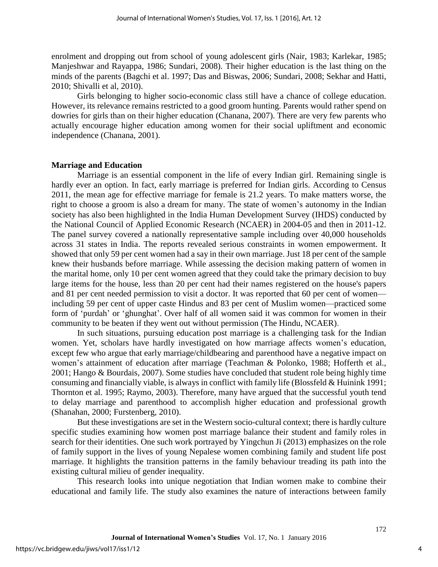enrolment and dropping out from school of young adolescent girls (Nair, 1983; Karlekar, 1985; Manjeshwar and Rayappa, 1986; Sundari, 2008). Their higher education is the last thing on the minds of the parents (Bagchi et al. 1997; Das and Biswas, 2006; Sundari, 2008; Sekhar and Hatti, 2010; Shivalli et al, 2010).

Girls belonging to higher socio-economic class still have a chance of college education. However, its relevance remains restricted to a good groom hunting. Parents would rather spend on dowries for girls than on their higher education (Chanana, 2007). There are very few parents who actually encourage higher education among women for their social upliftment and economic independence (Chanana, 2001).

### **Marriage and Education**

Marriage is an essential component in the life of every Indian girl. Remaining single is hardly ever an option. In fact, early marriage is preferred for Indian girls. According to Census 2011, the mean age for effective marriage for female is 21.2 years. To make matters worse, the right to choose a groom is also a dream for many. The state of women's autonomy in the Indian society has also been highlighted in the India Human Development Survey (IHDS) conducted by the National Council of Applied Economic Research (NCAER) in 2004-05 and then in 2011-12. The panel survey covered a nationally representative sample including over 40,000 households across 31 states in India. The reports revealed serious constraints in women empowerment. It showed that only 59 per cent women had a say in their own marriage. Just 18 per cent of the sample knew their husbands before marriage. While assessing the decision making pattern of women in the marital home, only 10 per cent women agreed that they could take the primary decision to buy large items for the house, less than 20 per cent had their names registered on the house's papers and 81 per cent needed permission to visit a doctor. It was reported that 60 per cent of women including 59 per cent of upper caste Hindus and 83 per cent of Muslim women—practiced some form of 'purdah' or 'ghunghat'. Over half of all women said it was common for women in their community to be beaten if they went out without permission (The Hindu, NCAER).

In such situations, pursuing education post marriage is a challenging task for the Indian women. Yet, scholars have hardly investigated on how marriage affects women's education, except few who argue that early marriage/childbearing and parenthood have a negative impact on women's attainment of education after marriage (Teachman & Polonko, 1988; Hofferth et al., 2001; Hango & Bourdais, 2007). Some studies have concluded that student role being highly time consuming and financially viable, is always in conflict with family life (Blossfeld & Huinink 1991; Thornton et al. 1995; Raymo, 2003). Therefore, many have argued that the successful youth tend to delay marriage and parenthood to accomplish higher education and professional growth (Shanahan, 2000; Furstenberg, 2010).

But these investigations are set in the Western socio-cultural context; there is hardly culture specific studies examining how women post marriage balance their student and family roles in search for their identities. One such work portrayed by Yingchun Ji (2013) emphasizes on the role of family support in the lives of young Nepalese women combining family and student life post marriage. It highlights the transition patterns in the family behaviour treading its path into the existing cultural milieu of gender inequality.

This research looks into unique negotiation that Indian women make to combine their educational and family life. The study also examines the nature of interactions between family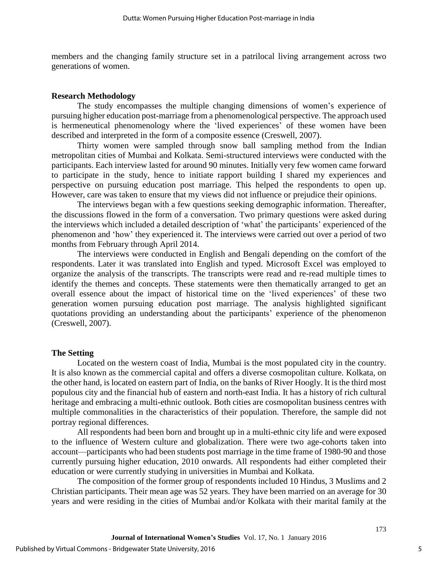members and the changing family structure set in a patrilocal living arrangement across two generations of women.

#### **Research Methodology**

The study encompasses the multiple changing dimensions of women's experience of pursuing higher education post-marriage from a phenomenological perspective. The approach used is hermeneutical phenomenology where the 'lived experiences' of these women have been described and interpreted in the form of a composite essence (Creswell, 2007).

Thirty women were sampled through snow ball sampling method from the Indian metropolitan cities of Mumbai and Kolkata. Semi-structured interviews were conducted with the participants. Each interview lasted for around 90 minutes. Initially very few women came forward to participate in the study, hence to initiate rapport building I shared my experiences and perspective on pursuing education post marriage. This helped the respondents to open up. However, care was taken to ensure that my views did not influence or prejudice their opinions.

The interviews began with a few questions seeking demographic information. Thereafter, the discussions flowed in the form of a conversation. Two primary questions were asked during the interviews which included a detailed description of 'what' the participants' experienced of the phenomenon and 'how' they experienced it. The interviews were carried out over a period of two months from February through April 2014.

The interviews were conducted in English and Bengali depending on the comfort of the respondents. Later it was translated into English and typed. Microsoft Excel was employed to organize the analysis of the transcripts. The transcripts were read and re-read multiple times to identify the themes and concepts. These statements were then thematically arranged to get an overall essence about the impact of historical time on the 'lived experiences' of these two generation women pursuing education post marriage. The analysis highlighted significant quotations providing an understanding about the participants' experience of the phenomenon (Creswell, 2007).

#### **The Setting**

Located on the western coast of India, Mumbai is the most populated city in the country. It is also known as the commercial capital and offers a diverse cosmopolitan culture. Kolkata, on the other hand, is located on eastern part of India, on the banks of River Hoogly. It is the third most populous city and the financial hub of eastern and north-east India. It has a history of rich cultural heritage and embracing a multi-ethnic outlook. Both cities are cosmopolitan business centres with multiple commonalities in the characteristics of their population. Therefore, the sample did not portray regional differences.

All respondents had been born and brought up in a multi-ethnic city life and were exposed to the influence of Western culture and globalization. There were two age-cohorts taken into account—participants who had been students post marriage in the time frame of 1980-90 and those currently pursuing higher education, 2010 onwards. All respondents had either completed their education or were currently studying in universities in Mumbai and Kolkata.

The composition of the former group of respondents included 10 Hindus, 3 Muslims and 2 Christian participants. Their mean age was 52 years. They have been married on an average for 30 years and were residing in the cities of Mumbai and/or Kolkata with their marital family at the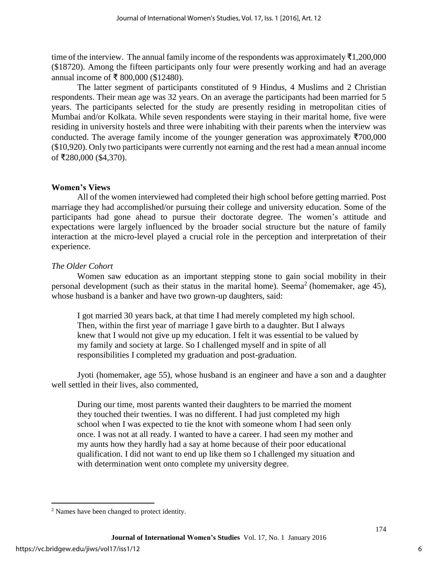time of the interview. The annual family income of the respondents was approximately  $\bar{\tau}1,200,000$ (\$18720). Among the fifteen participants only four were presently working and had an average annual income of ₹ 800,000 (\$12480).

The latter segment of participants constituted of 9 Hindus, 4 Muslims and 2 Christian respondents. Their mean age was 32 years. On an average the participants had been married for 5 years. The participants selected for the study are presently residing in metropolitan cities of Mumbai and/or Kolkata. While seven respondents were staying in their marital home, five were residing in university hostels and three were inhabiting with their parents when the interview was conducted. The average family income of the younger generation was approximately  $\overline{5700,000}$ (\$10,920). Only two participants were currently not earning and the rest had a mean annual income of ₹280,000 (\$4,370).

# **Women's Views**

All of the women interviewed had completed their high school before getting married. Post marriage they had accomplished/or pursuing their college and university education. Some of the participants had gone ahead to pursue their doctorate degree. The women's attitude and expectations were largely influenced by the broader social structure but the nature of family interaction at the micro-level played a crucial role in the perception and interpretation of their experience.

# *The Older Cohort*

Women saw education as an important stepping stone to gain social mobility in their personal development (such as their status in the marital home). Seema<sup>2</sup> (homemaker, age 45), whose husband is a banker and have two grown-up daughters, said:

I got married 30 years back, at that time I had merely completed my high school. Then, within the first year of marriage I gave birth to a daughter. But I always knew that I would not give up my education. I felt it was essential to be valued by my family and society at large. So I challenged myself and in spite of all responsibilities I completed my graduation and post-graduation.

Jyoti (homemaker, age 55), whose husband is an engineer and have a son and a daughter well settled in their lives, also commented,

During our time, most parents wanted their daughters to be married the moment they touched their twenties. I was no different. I had just completed my high school when I was expected to tie the knot with someone whom I had seen only once. I was not at all ready. I wanted to have a career. I had seen my mother and my aunts how they hardly had a say at home because of their poor educational qualification. I did not want to end up like them so I challenged my situation and with determination went onto complete my university degree.

 $\overline{a}$ 

<sup>&</sup>lt;sup>2</sup> Names have been changed to protect identity.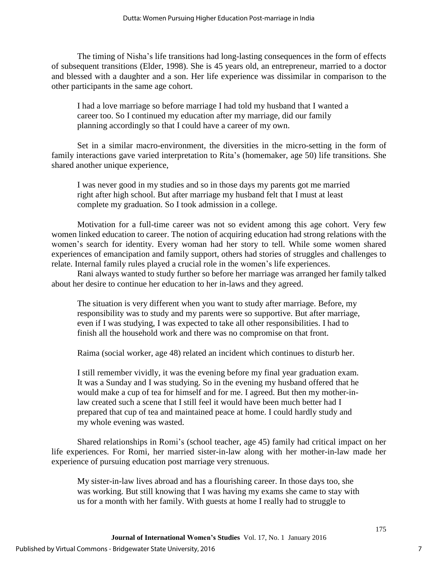The timing of Nisha's life transitions had long-lasting consequences in the form of effects of subsequent transitions (Elder, 1998). She is 45 years old, an entrepreneur, married to a doctor and blessed with a daughter and a son. Her life experience was dissimilar in comparison to the other participants in the same age cohort.

I had a love marriage so before marriage I had told my husband that I wanted a career too. So I continued my education after my marriage, did our family planning accordingly so that I could have a career of my own.

Set in a similar macro-environment, the diversities in the micro-setting in the form of family interactions gave varied interpretation to Rita's (homemaker, age 50) life transitions. She shared another unique experience,

I was never good in my studies and so in those days my parents got me married right after high school. But after marriage my husband felt that I must at least complete my graduation. So I took admission in a college.

Motivation for a full-time career was not so evident among this age cohort. Very few women linked education to career. The notion of acquiring education had strong relations with the women's search for identity. Every woman had her story to tell. While some women shared experiences of emancipation and family support, others had stories of struggles and challenges to relate. Internal family rules played a crucial role in the women's life experiences.

Rani always wanted to study further so before her marriage was arranged her family talked about her desire to continue her education to her in-laws and they agreed.

The situation is very different when you want to study after marriage. Before, my responsibility was to study and my parents were so supportive. But after marriage, even if I was studying, I was expected to take all other responsibilities. I had to finish all the household work and there was no compromise on that front.

Raima (social worker, age 48) related an incident which continues to disturb her.

I still remember vividly, it was the evening before my final year graduation exam. It was a Sunday and I was studying. So in the evening my husband offered that he would make a cup of tea for himself and for me. I agreed. But then my mother-inlaw created such a scene that I still feel it would have been much better had I prepared that cup of tea and maintained peace at home. I could hardly study and my whole evening was wasted.

Shared relationships in Romi's (school teacher, age 45) family had critical impact on her life experiences. For Romi, her married sister-in-law along with her mother-in-law made her experience of pursuing education post marriage very strenuous.

My sister-in-law lives abroad and has a flourishing career. In those days too, she was working. But still knowing that I was having my exams she came to stay with us for a month with her family. With guests at home I really had to struggle to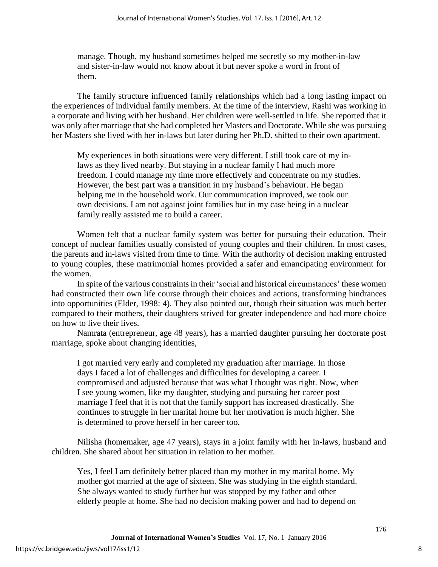manage. Though, my husband sometimes helped me secretly so my mother-in-law and sister-in-law would not know about it but never spoke a word in front of them.

The family structure influenced family relationships which had a long lasting impact on the experiences of individual family members. At the time of the interview, Rashi was working in a corporate and living with her husband. Her children were well-settled in life. She reported that it was only after marriage that she had completed her Masters and Doctorate. While she was pursuing her Masters she lived with her in-laws but later during her Ph.D. shifted to their own apartment.

My experiences in both situations were very different. I still took care of my inlaws as they lived nearby. But staying in a nuclear family I had much more freedom. I could manage my time more effectively and concentrate on my studies. However, the best part was a transition in my husband's behaviour. He began helping me in the household work. Our communication improved, we took our own decisions. I am not against joint families but in my case being in a nuclear family really assisted me to build a career.

Women felt that a nuclear family system was better for pursuing their education. Their concept of nuclear families usually consisted of young couples and their children. In most cases, the parents and in-laws visited from time to time. With the authority of decision making entrusted to young couples, these matrimonial homes provided a safer and emancipating environment for the women.

In spite of the various constraints in their 'social and historical circumstances' these women had constructed their own life course through their choices and actions, transforming hindrances into opportunities (Elder, 1998: 4). They also pointed out, though their situation was much better compared to their mothers, their daughters strived for greater independence and had more choice on how to live their lives.

Namrata (entrepreneur, age 48 years), has a married daughter pursuing her doctorate post marriage, spoke about changing identities,

I got married very early and completed my graduation after marriage. In those days I faced a lot of challenges and difficulties for developing a career. I compromised and adjusted because that was what I thought was right. Now, when I see young women, like my daughter, studying and pursuing her career post marriage I feel that it is not that the family support has increased drastically. She continues to struggle in her marital home but her motivation is much higher. She is determined to prove herself in her career too.

Nilisha (homemaker, age 47 years), stays in a joint family with her in-laws, husband and children. She shared about her situation in relation to her mother.

Yes, I feel I am definitely better placed than my mother in my marital home. My mother got married at the age of sixteen. She was studying in the eighth standard. She always wanted to study further but was stopped by my father and other elderly people at home. She had no decision making power and had to depend on

8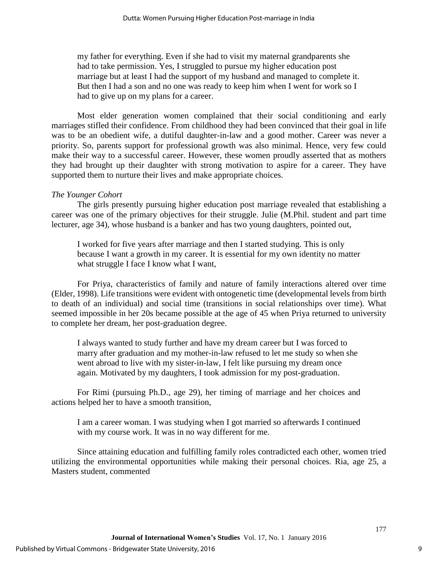my father for everything. Even if she had to visit my maternal grandparents she had to take permission. Yes, I struggled to pursue my higher education post marriage but at least I had the support of my husband and managed to complete it. But then I had a son and no one was ready to keep him when I went for work so I had to give up on my plans for a career.

Most elder generation women complained that their social conditioning and early marriages stifled their confidence. From childhood they had been convinced that their goal in life was to be an obedient wife, a dutiful daughter-in-law and a good mother. Career was never a priority. So, parents support for professional growth was also minimal. Hence, very few could make their way to a successful career. However, these women proudly asserted that as mothers they had brought up their daughter with strong motivation to aspire for a career. They have supported them to nurture their lives and make appropriate choices.

#### *The Younger Cohort*

The girls presently pursuing higher education post marriage revealed that establishing a career was one of the primary objectives for their struggle. Julie (M.Phil. student and part time lecturer, age 34), whose husband is a banker and has two young daughters, pointed out,

I worked for five years after marriage and then I started studying. This is only because I want a growth in my career. It is essential for my own identity no matter what struggle I face I know what I want,

For Priya, characteristics of family and nature of family interactions altered over time (Elder, 1998). Life transitions were evident with ontogenetic time (developmental levels from birth to death of an individual) and social time (transitions in social relationships over time). What seemed impossible in her 20s became possible at the age of 45 when Priya returned to university to complete her dream, her post-graduation degree.

I always wanted to study further and have my dream career but I was forced to marry after graduation and my mother-in-law refused to let me study so when she went abroad to live with my sister-in-law, I felt like pursuing my dream once again. Motivated by my daughters, I took admission for my post-graduation.

For Rimi (pursuing Ph.D., age 29), her timing of marriage and her choices and actions helped her to have a smooth transition,

I am a career woman. I was studying when I got married so afterwards I continued with my course work. It was in no way different for me.

Since attaining education and fulfilling family roles contradicted each other, women tried utilizing the environmental opportunities while making their personal choices. Ria, age 25, a Masters student, commented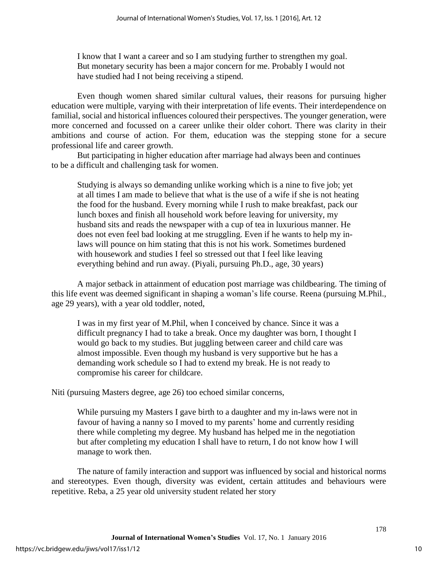I know that I want a career and so I am studying further to strengthen my goal. But monetary security has been a major concern for me. Probably I would not have studied had I not being receiving a stipend.

Even though women shared similar cultural values, their reasons for pursuing higher education were multiple, varying with their interpretation of life events. Their interdependence on familial, social and historical influences coloured their perspectives. The younger generation, were more concerned and focussed on a career unlike their older cohort. There was clarity in their ambitions and course of action. For them, education was the stepping stone for a secure professional life and career growth.

But participating in higher education after marriage had always been and continues to be a difficult and challenging task for women.

Studying is always so demanding unlike working which is a nine to five job; yet at all times I am made to believe that what is the use of a wife if she is not heating the food for the husband. Every morning while I rush to make breakfast, pack our lunch boxes and finish all household work before leaving for university, my husband sits and reads the newspaper with a cup of tea in luxurious manner. He does not even feel bad looking at me struggling. Even if he wants to help my inlaws will pounce on him stating that this is not his work. Sometimes burdened with housework and studies I feel so stressed out that I feel like leaving everything behind and run away. (Piyali, pursuing Ph.D., age, 30 years)

A major setback in attainment of education post marriage was childbearing. The timing of this life event was deemed significant in shaping a woman's life course. Reena (pursuing M.Phil., age 29 years), with a year old toddler, noted,

I was in my first year of M.Phil, when I conceived by chance. Since it was a difficult pregnancy I had to take a break. Once my daughter was born, I thought I would go back to my studies. But juggling between career and child care was almost impossible. Even though my husband is very supportive but he has a demanding work schedule so I had to extend my break. He is not ready to compromise his career for childcare.

Niti (pursuing Masters degree, age 26) too echoed similar concerns,

While pursuing my Masters I gave birth to a daughter and my in-laws were not in favour of having a nanny so I moved to my parents' home and currently residing there while completing my degree. My husband has helped me in the negotiation but after completing my education I shall have to return, I do not know how I will manage to work then.

The nature of family interaction and support was influenced by social and historical norms and stereotypes. Even though, diversity was evident, certain attitudes and behaviours were repetitive. Reba, a 25 year old university student related her story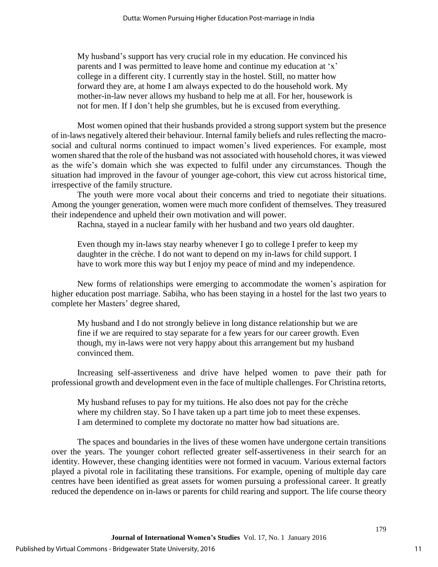My husband's support has very crucial role in my education. He convinced his parents and I was permitted to leave home and continue my education at 'x' college in a different city. I currently stay in the hostel. Still, no matter how forward they are, at home I am always expected to do the household work. My mother-in-law never allows my husband to help me at all. For her, housework is not for men. If I don't help she grumbles, but he is excused from everything.

Most women opined that their husbands provided a strong support system but the presence of in-laws negatively altered their behaviour. Internal family beliefs and rules reflecting the macrosocial and cultural norms continued to impact women's lived experiences. For example, most women shared that the role of the husband was not associated with household chores, it was viewed as the wife's domain which she was expected to fulfil under any circumstances. Though the situation had improved in the favour of younger age-cohort, this view cut across historical time, irrespective of the family structure.

The youth were more vocal about their concerns and tried to negotiate their situations. Among the younger generation, women were much more confident of themselves. They treasured their independence and upheld their own motivation and will power.

Rachna, stayed in a nuclear family with her husband and two years old daughter.

Even though my in-laws stay nearby whenever I go to college I prefer to keep my daughter in the crèche. I do not want to depend on my in-laws for child support. I have to work more this way but I enjoy my peace of mind and my independence.

New forms of relationships were emerging to accommodate the women's aspiration for higher education post marriage. Sabiha, who has been staying in a hostel for the last two years to complete her Masters' degree shared,

My husband and I do not strongly believe in long distance relationship but we are fine if we are required to stay separate for a few years for our career growth. Even though, my in-laws were not very happy about this arrangement but my husband convinced them.

Increasing self-assertiveness and drive have helped women to pave their path for professional growth and development even in the face of multiple challenges. For Christina retorts,

My husband refuses to pay for my tuitions. He also does not pay for the crèche where my children stay. So I have taken up a part time job to meet these expenses. I am determined to complete my doctorate no matter how bad situations are.

The spaces and boundaries in the lives of these women have undergone certain transitions over the years. The younger cohort reflected greater self-assertiveness in their search for an identity. However, these changing identities were not formed in vacuum. Various external factors played a pivotal role in facilitating these transitions. For example, opening of multiple day care centres have been identified as great assets for women pursuing a professional career. It greatly reduced the dependence on in-laws or parents for child rearing and support. The life course theory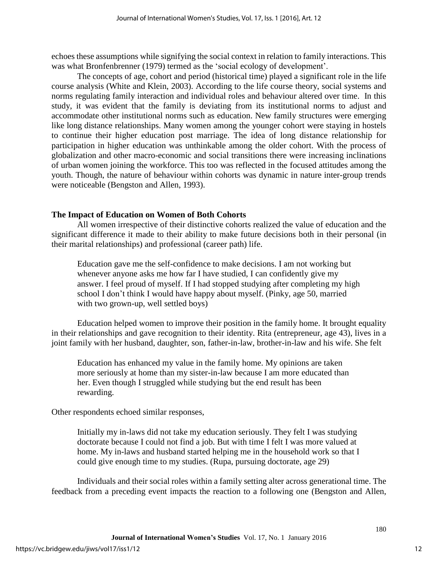echoes these assumptions while signifying the social context in relation to family interactions. This was what Bronfenbrenner (1979) termed as the 'social ecology of development'.

The concepts of age, cohort and period (historical time) played a significant role in the life course analysis (White and Klein, 2003). According to the life course theory, social systems and norms regulating family interaction and individual roles and behaviour altered over time. In this study, it was evident that the family is deviating from its institutional norms to adjust and accommodate other institutional norms such as education. New family structures were emerging like long distance relationships. Many women among the younger cohort were staying in hostels to continue their higher education post marriage. The idea of long distance relationship for participation in higher education was unthinkable among the older cohort. With the process of globalization and other macro-economic and social transitions there were increasing inclinations of urban women joining the workforce. This too was reflected in the focused attitudes among the youth. Though, the nature of behaviour within cohorts was dynamic in nature inter-group trends were noticeable (Bengston and Allen, 1993).

# **The Impact of Education on Women of Both Cohorts**

All women irrespective of their distinctive cohorts realized the value of education and the significant difference it made to their ability to make future decisions both in their personal (in their marital relationships) and professional (career path) life.

Education gave me the self-confidence to make decisions. I am not working but whenever anyone asks me how far I have studied, I can confidently give my answer. I feel proud of myself. If I had stopped studying after completing my high school I don't think I would have happy about myself. (Pinky, age 50, married with two grown-up, well settled boys)

Education helped women to improve their position in the family home. It brought equality in their relationships and gave recognition to their identity. Rita (entrepreneur, age 43), lives in a joint family with her husband, daughter, son, father-in-law, brother-in-law and his wife. She felt

Education has enhanced my value in the family home. My opinions are taken more seriously at home than my sister-in-law because I am more educated than her. Even though I struggled while studying but the end result has been rewarding.

Other respondents echoed similar responses,

Initially my in-laws did not take my education seriously. They felt I was studying doctorate because I could not find a job. But with time I felt I was more valued at home. My in-laws and husband started helping me in the household work so that I could give enough time to my studies. (Rupa, pursuing doctorate, age 29)

Individuals and their social roles within a family setting alter across generational time. The feedback from a preceding event impacts the reaction to a following one (Bengston and Allen,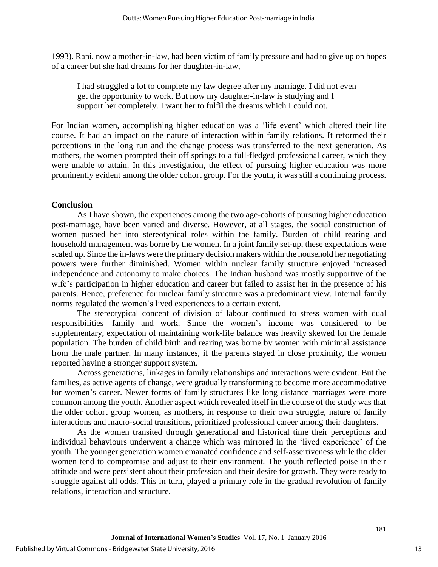1993). Rani, now a mother-in-law, had been victim of family pressure and had to give up on hopes of a career but she had dreams for her daughter-in-law,

I had struggled a lot to complete my law degree after my marriage. I did not even get the opportunity to work. But now my daughter-in-law is studying and I support her completely. I want her to fulfil the dreams which I could not.

For Indian women, accomplishing higher education was a 'life event' which altered their life course. It had an impact on the nature of interaction within family relations. It reformed their perceptions in the long run and the change process was transferred to the next generation. As mothers, the women prompted their off springs to a full-fledged professional career, which they were unable to attain. In this investigation, the effect of pursuing higher education was more prominently evident among the older cohort group. For the youth, it was still a continuing process.

### **Conclusion**

As I have shown, the experiences among the two age-cohorts of pursuing higher education post-marriage, have been varied and diverse. However, at all stages, the social construction of women pushed her into stereotypical roles within the family. Burden of child rearing and household management was borne by the women. In a joint family set-up, these expectations were scaled up. Since the in-laws were the primary decision makers within the household her negotiating powers were further diminished. Women within nuclear family structure enjoyed increased independence and autonomy to make choices. The Indian husband was mostly supportive of the wife's participation in higher education and career but failed to assist her in the presence of his parents. Hence, preference for nuclear family structure was a predominant view. Internal family norms regulated the women's lived experiences to a certain extent.

The stereotypical concept of division of labour continued to stress women with dual responsibilities—family and work. Since the women's income was considered to be supplementary, expectation of maintaining work-life balance was heavily skewed for the female population. The burden of child birth and rearing was borne by women with minimal assistance from the male partner. In many instances, if the parents stayed in close proximity, the women reported having a stronger support system.

Across generations, linkages in family relationships and interactions were evident. But the families, as active agents of change, were gradually transforming to become more accommodative for women's career. Newer forms of family structures like long distance marriages were more common among the youth. Another aspect which revealed itself in the course of the study was that the older cohort group women, as mothers, in response to their own struggle, nature of family interactions and macro-social transitions, prioritized professional career among their daughters.

As the women transited through generational and historical time their perceptions and individual behaviours underwent a change which was mirrored in the 'lived experience' of the youth. The younger generation women emanated confidence and self-assertiveness while the older women tend to compromise and adjust to their environment. The youth reflected poise in their attitude and were persistent about their profession and their desire for growth. They were ready to struggle against all odds. This in turn, played a primary role in the gradual revolution of family relations, interaction and structure.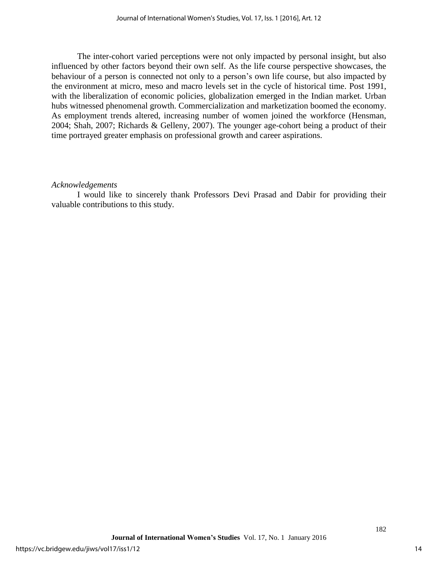The inter-cohort varied perceptions were not only impacted by personal insight, but also influenced by other factors beyond their own self. As the life course perspective showcases, the behaviour of a person is connected not only to a person's own life course, but also impacted by the environment at micro, meso and macro levels set in the cycle of historical time. Post 1991, with the liberalization of economic policies, globalization emerged in the Indian market. Urban hubs witnessed phenomenal growth. Commercialization and marketization boomed the economy. As employment trends altered, increasing number of women joined the workforce (Hensman, 2004; Shah, 2007; Richards & Gelleny, 2007). The younger age-cohort being a product of their time portrayed greater emphasis on professional growth and career aspirations.

# *Acknowledgements*

I would like to sincerely thank Professors Devi Prasad and Dabir for providing their valuable contributions to this study.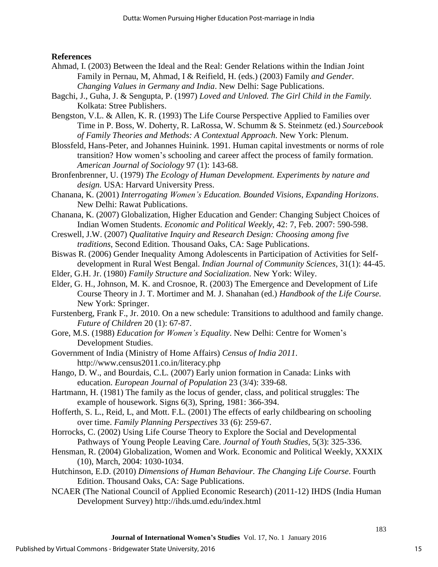# **References**

- Ahmad, I. (2003) Between the Ideal and the Real: Gender Relations within the Indian Joint Family in Pernau, M, Ahmad, I & Reifield, H. (eds.) (2003) Family *and Gender. Changing Values in Germany and India*. New Delhi: Sage Publications.
- Bagchi, J., Guha, J. & Sengupta, P. (1997) *Loved and Unloved. The Girl Child in the Family.* Kolkata: Stree Publishers.
- Bengston, V.L. & Allen, K. R. (1993) The Life Course Perspective Applied to Families over Time in P. Boss, W. Doherty, R. LaRossa, W. Schumm & S. Steinmetz (ed.) *Sourcebook of Family Theories and Methods: A Contextual Approach*. New York: Plenum.
- Blossfeld, Hans-Peter, and Johannes Huinink. 1991. Human capital investments or norms of role transition? How women's schooling and career affect the process of family formation. *American Journal of Sociology* 97 (1): 143-68.
- Bronfenbrenner, U. (1979) *The Ecology of Human Development. Experiments by nature and design.* USA: Harvard University Press.
- Chanana, K. (2001) *Interrogating Women's Education. Bounded Visions, Expanding Horizons*. New Delhi: Rawat Publications.
- Chanana, K. (2007) Globalization, Higher Education and Gender: Changing Subject Choices of Indian Women Students. *Economic and Political Weekly*, 42: 7, Feb. 2007: 590-598.
- Creswell, J.W. (2007) *Qualitative Inquiry and Research Design: Choosing among five traditions*, Second Edition. Thousand Oaks, CA: Sage Publications.
- Biswas R. (2006) Gender Inequality Among Adolescents in Participation of Activities for Selfdevelopment in Rural West Bengal. *Indian Journal of Community Sciences,* 31(1): 44-45.
- Elder, G.H. Jr. (1980) *Family Structure and Socialization*. New York: Wiley.
- Elder, G. H., Johnson, M. K. and Crosnoe, R. (2003) The Emergence and Development of Life Course Theory in J. T. Mortimer and M. J. Shanahan (ed.) *Handbook of the Life Course.* New York: Springer.
- Furstenberg, Frank F., Jr. 2010. On a new schedule: Transitions to adulthood and family change. *Future of Children* 20 (1): 67-87.
- Gore, M.S. (1988) *Education for Women's Equality*. New Delhi: Centre for Women's Development Studies.
- Government of India ( Ministry of Home Affairs) *Census of India 2011*. http://www.census2011.co.in/literacy.php
- Hango, D. W., and Bourdais, C.L. (2007) Early union formation in Canada: Links with education. *European Journal of Population* 23 (3/4): 339-68.
- Hartmann, H. (1981) The family as the locus of gender, class, and political struggles: The example of housework. Signs 6(3), Spring, 1981: 366-394.
- Hofferth, S. L., Reid, L, and Mott. F.L. (2001) The effects of early childbearing on schooling over time. *Family Planning Perspectives* 33 (6): 259-67.
- Horrocks, C. (2002) Using Life Course Theory to Explore the Social and Developmental Pathways of Young People Leaving Care. *Journal of Youth Studies*, 5(3): 325-336.
- Hensman, R. (2004) Globalization, Women and Work. Economic and Political Weekly, XXXIX (10), March, 2004: 1030-1034.
- Hutchinson, E.D. (2010) *Dimensions of Human Behaviour. The Changing Life Course*. Fourth Edition. Thousand Oaks, CA: Sage Publications.
- NCAER (The National Council of Applied Economic Research) (2011-12) IHDS (India Human Development Survey) http://ihds.umd.edu/index.html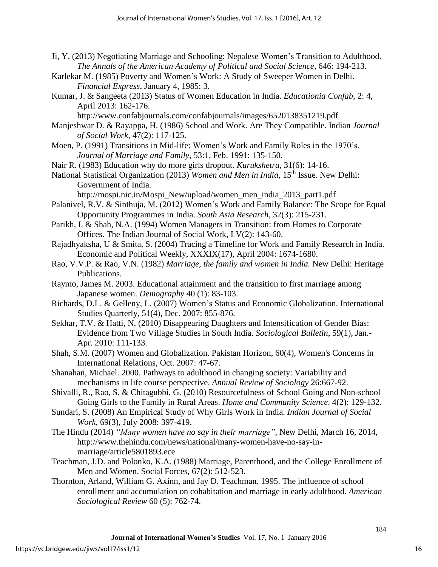- Ji, Y. (2013) Negotiating Marriage and Schooling: Nepalese Women's Transition to Adulthood. *The Annals of the American Academy of Political and Social Science*, 646: 194-213.
- Karlekar M. (1985) Poverty and Women's Work: A Study of Sweeper Women in Delhi. *Financial Express*, January 4, 1985: 3.
- Kumar, J. & Sangeeta (2013) Status of Women Education in India. *Educationia Confab*, 2: 4, April 2013: 162-176.

http://www.confabjournals.com/confabjournals/images/6520138351219.pdf

- Manjeshwar D. & Rayappa, H. (1986) School and Work. Are They Compatible. Indian *Journal of Social Work,* 47(2): 117-125.
- Moen, P. (1991) Transitions in Mid-life: Women's Work and Family Roles in the 1970's. *Journal of Marriage and Family*, 53:1, Feb. 1991: 135-150.
- Nair R. (1983) Education why do more girls dropout. *Kurukshetra,* 31(6): 14-16.
- National Statistical Organization (2013) *Women and Men in India*, 15th Issue. New Delhi: Government of India.

http://mospi.nic.in/Mospi\_New/upload/women\_men\_india\_2013\_part1.pdf

- Palanivel, R.V. & Sinthuja, M. (2012) Women's Work and Family Balance: The Scope for Equal Opportunity Programmes in India. *South Asia Research*, 32(3): 215-231.
- Parikh, I. & Shah, N.A. (1994) Women Managers in Transition: from Homes to Corporate Offices. The Indian Journal of Social Work, LV(2): 143-60.
- Rajadhyaksha, U & Smita, S. (2004) Tracing a Timeline for Work and Family Research in India. Economic and Political Weekly, XXXIX(17), April 2004: 1674-1680.
- Rao, V.V.P. & Rao, V.N. (1982) *Marriage, the family and women in India.* New Delhi: Heritage Publications.
- Raymo, James M. 2003. Educational attainment and the transition to first marriage among Japanese women. *Demography* 40 (1): 83-103.
- Richards, D.L. & Gelleny, L. (2007) Women's Status and Economic Globalization. International Studies Quarterly, 51(4), Dec. 2007: 855-876.
- Sekhar, T.V. & Hatti, N. (2010) Disappearing Daughters and Intensification of Gender Bias: Evidence from Two Village Studies in South India. *Sociological Bulletin*, 59(1), Jan.- Apr. 2010: 111-133.
- Shah, S.M. (2007) Women and Globalization. Pakistan Horizon, 60(4), Women's Concerns in International Relations, Oct. 2007: 47-67.
- Shanahan, Michael. 2000. Pathways to adulthood in changing society: Variability and mechanisms in life course perspective. *Annual Review of Sociology* 26:667-92.
- Shivalli, R., Rao, S. & Chitagubbi, G. (2010) Resourcefulness of School Going and Non-school Going Girls to the Family in Rural Areas. *Home and Community Science*. 4(2): 129-132.
- Sundari, S. (2008) An Empirical Study of Why Girls Work in India. *Indian Journal of Social Work*, 69(3), July 2008: 397-419.
- The Hindu (2014) *"Many women have no say in their marriage"*, New Delhi, March 16, 2014, http://www.thehindu.com/news/national/many-women-have-no-say-inmarriage/article5801893.ece
- Teachman, J.D. and Polonko, K.A. (1988) Marriage, Parenthood, and the College Enrollment of Men and Women. Social Forces, 67(2): 512-523.
- Thornton, Arland, William G. Axinn, and Jay D. Teachman. 1995. The influence of school enrollment and accumulation on cohabitation and marriage in early adulthood. *American Sociological Review* 60 (5): 762-74.